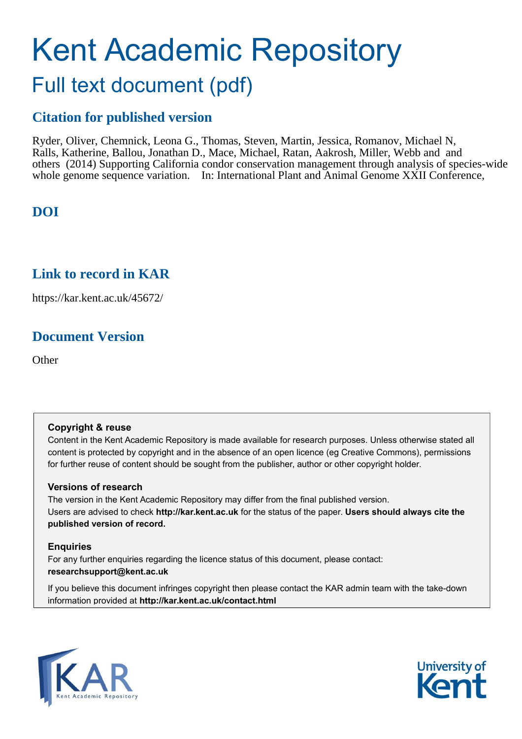# Kent Academic Repository Full text document (pdf)

## **Citation for published version**

Ryder, Oliver, Chemnick, Leona G., Thomas, Steven, Martin, Jessica, Romanov, Michael N, Ralls, Katherine, Ballou, Jonathan D., Mace, Michael, Ratan, Aakrosh, Miller, Webb and and others (2014) Supporting California condor conservation management through analysis of species-wide whole genome sequence variation. In: International Plant and Animal Genome XXII Conference,

## **DOI**

## **Link to record in KAR**

https://kar.kent.ac.uk/45672/

## **Document Version**

**Other** 

#### **Copyright & reuse**

Content in the Kent Academic Repository is made available for research purposes. Unless otherwise stated all content is protected by copyright and in the absence of an open licence (eg Creative Commons), permissions for further reuse of content should be sought from the publisher, author or other copyright holder.

#### **Versions of research**

The version in the Kent Academic Repository may differ from the final published version. Users are advised to check **http://kar.kent.ac.uk** for the status of the paper. **Users should always cite the published version of record.**

#### **Enquiries**

For any further enquiries regarding the licence status of this document, please contact: **researchsupport@kent.ac.uk**

If you believe this document infringes copyright then please contact the KAR admin team with the take-down information provided at **http://kar.kent.ac.uk/contact.html**